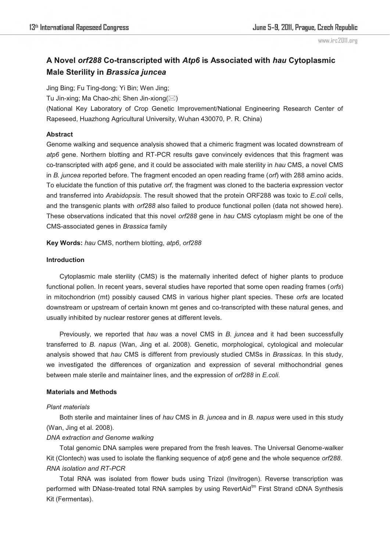# **A Novel** *orf288* **Co-transcripted with** *Atp6* **is Associated with** *hau* **Cytoplasmic Male Sterility in** *Brassica juncea*

Jing Bing; Fu Ting-dong; Yi Bin; Wen Jing;

Tu Jin-xing; Ma Chao-zhi; Shen Jin-xiong $(\boxtimes)$ 

(National Key Laboratory of Crop Genetic Improvement/National Engineering Research Center of Rapeseed, Huazhong Agricultural University, Wuhan 430070, P. R. China)

### **Abstract**

Genome walking and sequence analysis showed that a chimeric fragment was located downstream of *atp6* gene. Northern blotting and RT-PCR results gave convincely evidences that this fragment was co-transcripted with *atp6* gene, and it could be associated with male sterility in *hau* CMS, a novel CMS in *B. juncea* reported before. The fragment encoded an open reading frame (*orf*) with 288 amino acids. To elucidate the function of this putative *orf*, the fragment was cloned to the bacteria expression vector and transferred into *Arabidopsis*. The result showed that the protein ORF288 was toxic to *E.coli* cells, and the transgenic plants with *orf288* also failed to produce functional pollen (data not showed here). These observations indicated that this novel *orf288* gene in *hau* CMS cytoplasm might be one of the CMS-associated genes in *Brassica* family

**Key Words:** *hau* CMS, northern blotting, *atp6*, *orf288*

### **Introduction**

Cytoplasmic male sterility (CMS) is the maternally inherited defect of higher plants to produce functional pollen. In recent years, several studies have reported that some open reading frames (*orfs*) in mitochondrion (mt) possibly caused CMS in various higher plant species. These *orfs* are located downstream or upstream of certain known mt genes and co-transcripted with these natural genes, and usually inhibited by nuclear restorer genes at different levels.

Previously, we reported that *hau* was a novel CMS in *B. juncea* and it had been successfully transferred to *B. napus* (Wan, Jing et al. 2008). Genetic, morphological, cytological and molecular analysis showed that *hau* CMS is different from previously studied CMSs in *Brassicas*. In this study, we investigated the differences of organization and expression of several mithochondrial genes between male sterile and maintainer lines, and the expression of *orf288* in *E.coli*.

# **Materials and Methods**

### *Plant materials*

Both sterile and maintainer lines of *hau* CMS in *B. juncea* and in *B. napus* were used in this study (Wan, Jing et al. 2008).

# *DNA extraction and Genome walking*

Total genomic DNA samples were prepared from the fresh leaves. The Universal Genome-walker Kit (Clontech) was used to isolate the flanking sequence of *atp6* gene and the whole sequence *orf288*. *RNA isolation and RT-PCR* 

Total RNA was isolated from flower buds using Trizol (Invitrogen). Reverse transcription was performed with DNase-treated total RNA samples by using RevertAid<sup>tm</sup> First Strand cDNA Synthesis Kit (Fermentas).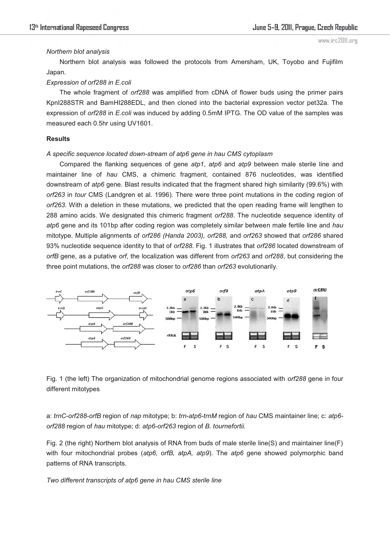### *Northern blot analysis*

Northern blot analysis was followed the protocols from Amersham, UK, Toyobo and Fujifilm Japan.

# *Expression of orf288 in E.coli*

The whole fragment of *orf288* was amplified from cDNA of flower buds using the primer pairs KpnI288STR and BamHI288EDL, and then cloned into the bacterial expression vector pet32a. The expression of *orf288* in *E.coli* was induced by adding 0.5mM IPTG. The OD value of the samples was measured each 0.5hr using UV1601.

### **Results**

### *A specific sequence located down-stream of atp6 gene in hau CMS cytoplasm*

Compared the flanking sequences of gene *atp1*, *atp6* and *atp9* between male sterile line and maintainer line of *hau* CMS, a chimeric fragment, contained 876 nucleotides, was identified downstream of *atp6* gene. Blast results indicated that the fragment shared high similarity (99.6%) with *orf263* in *tour* CMS (Landgren et al. 1996). There were three point mutations in the coding region of *orf263*. With a deletion in these mutations, we predicted that the open reading frame will lengthen to 288 amino acids. We designated this chimeric fragment *orf288*. The nucleotide sequence identity of *atp6* gene and its 101bp after coding region was completely similar between male fertile line and *hau* mitotype. Multiple alignments of *orf286 (Handa 2003), orf288,* and *orf263* showed that *orf286* shared 93% nucleotide sequence identity to that of *orf288*. Fig. 1 illustrates that *orf286* located downstream of *orfB* gene, as a putative *orf,* the localization was different from *orf263* and *orf288*, but considering the three point mutations, the *orf288* was closer to *orf286* than *orf263* evolutionarily.



Fig. 1 (the left) The organization of mitochondrial genome regions associated with *orf288* gene in four different mitotypes

a: *trnC-orf288-orfB* region of *nap* mitotype; b: *trn-atp6-trnM* region of *hau* CMS maintainer line; c: *atp6 orf288* region of *hau* mitotype; d: *atp6-orf263* region of *B. tournefortii.*

Fig. 2 (the right) Northern blot analysis of RNA from buds of male sterile line(S) and maintainer line(F) with four mitochondrial probes (*atp6, orfB, atpA, atp9*). The *atp6* gene showed polymorphic band patterns of RNA transcripts.

*Two different transcripts of atp6 gene in hau CMS sterile line*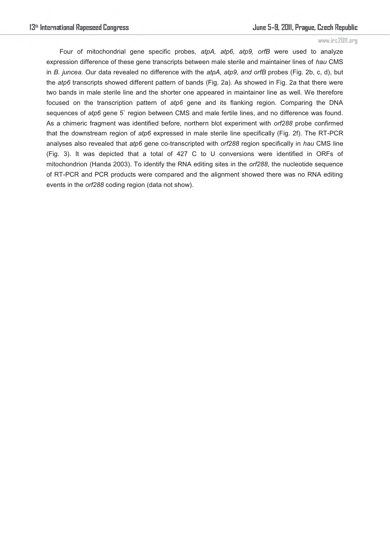Four of mitochondrial gene specific probes, *atpA, atp6, atp9, orfB* were used to analyze expression difference of these gene transcripts between male sterile and maintainer lines of *hau* CMS in *B. juncea*. Our data revealed no difference with the *atpA, atp9, and orfB* probes (Fig. 2b, c, d), but the *atp6* transcripts showed different pattern of bands (Fig. 2a). As showed in Fig. 2a that there were two bands in male sterile line and the shorter one appeared in maintainer line as well. We therefore focused on the transcription pattern of *atp6* gene and its flanking region. Comparing the DNA sequences of  $atp6$  gene 5` region between CMS and male fertile lines, and no difference was found. As a chimeric fragment was identified before, northern blot experiment with *orf288* probe confirmed that the downstream region of *atp6* expressed in male sterile line specifically (Fig. 2f). The RT-PCR analyses also revealed that *atp6* gene co-transcripted with *orf288* region specifically in *hau* CMS line (Fig. 3). It was depicted that a total of 427 C to U conversions were identified in ORFs of mitochondrion (Handa 2003). To identify the RNA editing sites in the *orf288*, the nucleotide sequence of RT-PCR and PCR products were compared and the alignment showed there was no RNA editing events in the *orf288* coding region (data not show).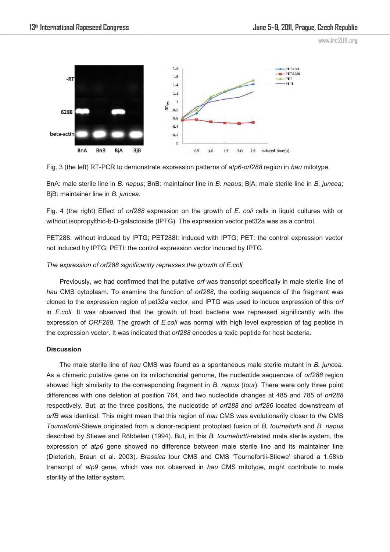

Fig. 3 (the left) RT-PCR to demonstrate expression patterns of *atp6-orf288* region in *hau* mitotype.

BnA: male sterile line in *B. napus*; BnB: maintainer line in *B. napus*; BjA: male sterile line in *B. juncea*; BjB: maintainer line in *B. juncea*.

Fig. 4 (the right) Effect of *orf288* expression on the growth of *E. coli* cells in liquid cultures with or without isopropylthio-b-D-galactoside (IPTG). The expression vector pet32a was as a control.

PET288: without induced by IPTG; PET288I: induced with IPTG; PET: the control expression vector not induced by IPTG; PETI: the control expression vector induced by IPTG.

### *The expression of orf288 significantly represses the growth of E.coli*

Previously, we had confirmed that the putative *orf* was transcript specifically in male sterile line of *hau* CMS cytoplasm. To examine the function of *orf288*, the coding sequence of the fragment was cloned to the expression region of pet32a vector, and IPTG was used to induce expression of this *orf* in *E.coli*. It was observed that the growth of host bacteria was repressed significantly with the expression of *ORF288*. The growth of *E.coli* was normal with high level expression of tag peptide in the expression vector. It was indicated that *orf288* encodes a toxic peptide for host bacteria.

#### **Discussion**

The male sterile line of *hau* CMS was found as a spontaneous male sterile mutant in *B. juncea.* As a chimeric putative gene on its mitochondrial genome, the nucleotide sequences of *orf288* region showed high similarity to the corresponding fragment in *B. napus* (*tour*). There were only three point differences with one deletion at position 764, and two nucleotide changes at 485 and 785 of *orf288* respectively. But, at the three positions, the nucleotide of *orf288* and *orf286* located downstream of *orfB* was identical. This might mean that this region of *hau* CMS was evolutionarily closer to *the* CMS *Tournefortii*-Stiewe originated from a donor-recipient protoplast fusion of *B. tournefortii* and *B. napus* described by Stiewe and Röbbelen (1994). But, in this *B. tournefortti*-related male sterile system, the expression of *atp6* gene showed no difference between male sterile line and its maintainer line (Dieterich, Braun et al. 2003). *Brassica* tour CMS and CMS 'Tournefortii-Stiewe' shared a 1.58kb transcript of *atp9* gene, which was not observed in *hau* CMS mitotype, might contribute to male sterility of the latter system.